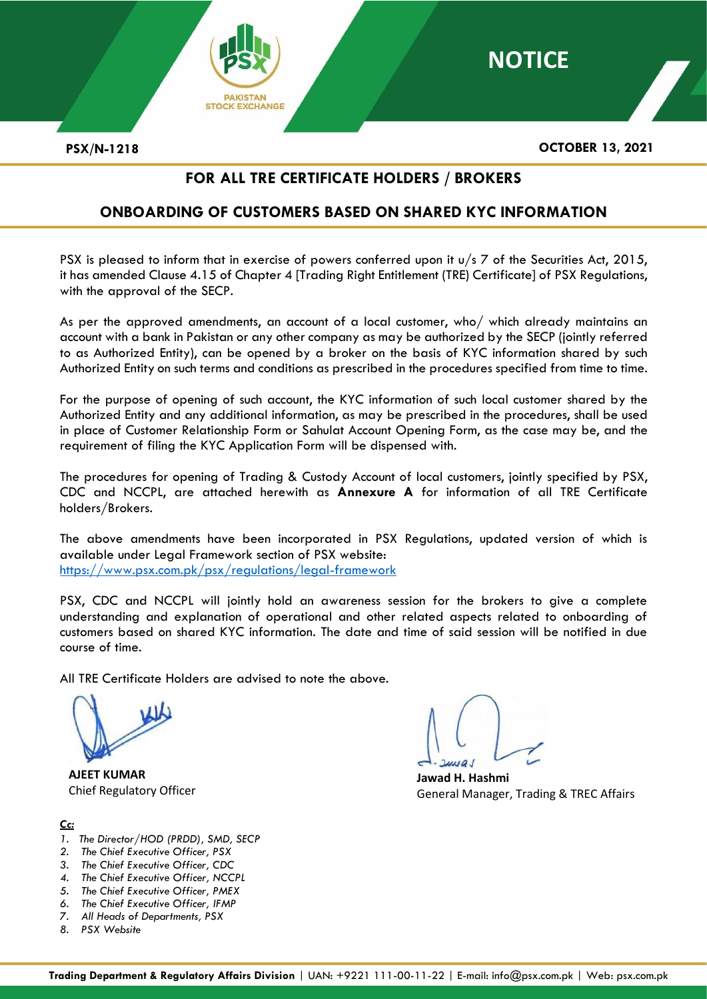

**PSX/N-1218 OCTOBER 13, 2021**

**NOTICE**

# **FOR ALL TRE CERTIFICATE HOLDERS / BROKERS**

# **ONBOARDING OF CUSTOMERS BASED ON SHARED KYC INFORMATION**

PSX is pleased to inform that in exercise of powers conferred upon it  $u/s$  7 of the Securities Act, 2015, it has amended Clause 4.15 of Chapter 4 [Trading Right Entitlement (TRE) Certificate] of PSX Regulations, with the approval of the SECP.

As per the approved amendments, an account of a local customer, who/ which already maintains an account with a bank in Pakistan or any other company as may be authorized by the SECP (jointly referred to as Authorized Entity), can be opened by a broker on the basis of KYC information shared by such Authorized Entity on such terms and conditions as prescribed in the procedures specified from time to time.

For the purpose of opening of such account, the KYC information of such local customer shared by the Authorized Entity and any additional information, as may be prescribed in the procedures, shall be used in place of Customer Relationship Form or Sahulat Account Opening Form, as the case may be, and the requirement of filing the KYC Application Form will be dispensed with.

The procedures for opening of Trading & Custody Account of local customers, jointly specified by PSX, CDC and NCCPL, are attached herewith as **Annexure A** for information of all TRE Certificate holders/Brokers.

The above amendments have been incorporated in PSX Regulations, updated version of which is available under Legal Framework section of PSX website: <https://www.psx.com.pk/psx/regulations/legal-framework>

PSX, CDC and NCCPL will jointly hold an awareness session for the brokers to give a complete understanding and explanation of operational and other related aspects related to onboarding of customers based on shared KYC information. The date and time of said session will be notified in due course of time.

All TRE Certificate Holders are advised to note the above.

**AJEET KUMAR** Chief Regulatory Officer

## *Cc:*

- *1. The Director/HOD (PRDD), SMD, SECP*
- *2. The Chief Executive Officer, PSX*
- *3. The Chief Executive Officer, CDC*
- *4. The Chief Executive Officer, NCCPL*
- *5. The Chief Executive Officer, PMEX*
- *6. The Chief Executive Officer, IFMP 7. All Heads of Departments, PSX*
- *8. PSX Website*

**Jawad H. Hashmi** General Manager, Trading & TREC Affairs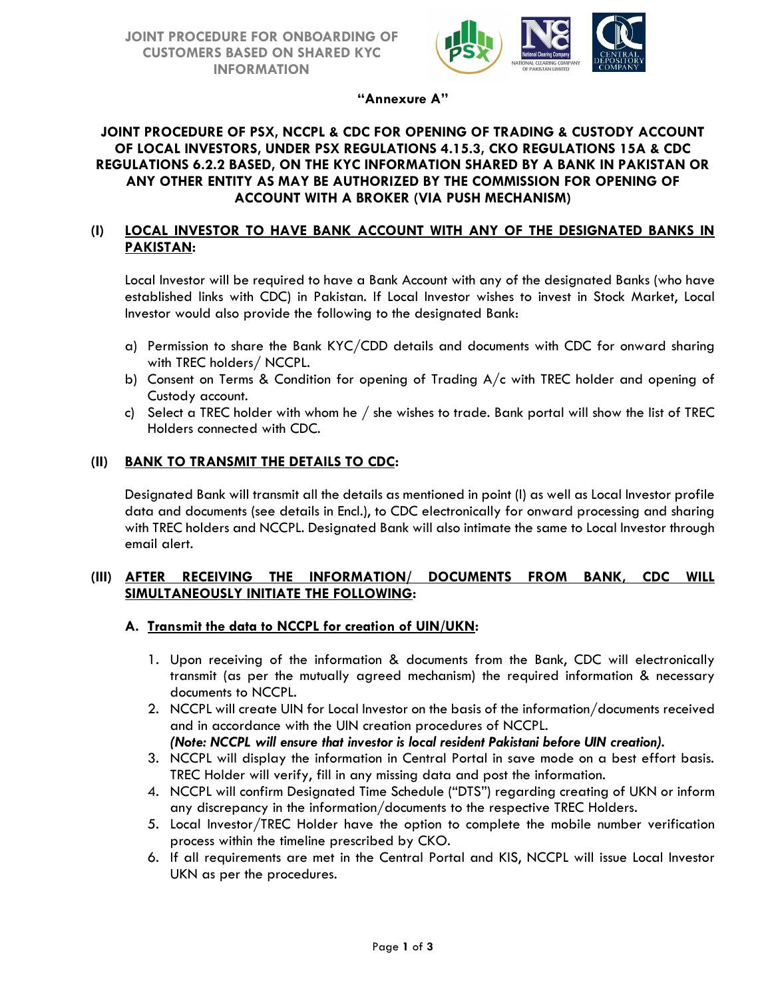

**"Annexure A"**

#### **JOINT PROCEDURE OF PSX, NCCPL & CDC FOR OPENING OF TRADING & CUSTODY ACCOUNT OF LOCAL INVESTORS, UNDER PSX REGULATIONS 4.15.3, CKO REGULATIONS 15A & CDC REGULATIONS 6.2.2 BASED, ON THE KYC INFORMATION SHARED BY A BANK IN PAKISTAN OR ANY OTHER ENTITY AS MAY BE AUTHORIZED BY THE COMMISSION FOR OPENING OF ACCOUNT WITH A BROKER (VIA PUSH MECHANISM)**

### **(I) LOCAL INVESTOR TO HAVE BANK ACCOUNT WITH ANY OF THE DESIGNATED BANKS IN PAKISTAN:**

Local Investor will be required to have a Bank Account with any of the designated Banks (who have established links with CDC) in Pakistan. If Local Investor wishes to invest in Stock Market, Local Investor would also provide the following to the designated Bank:

- a) Permission to share the Bank KYC/CDD details and documents with CDC for onward sharing with TREC holders/ NCCPL.
- b) Consent on Terms & Condition for opening of Trading A/c with TREC holder and opening of Custody account.
- c) Select a TREC holder with whom he / she wishes to trade. Bank portal will show the list of TREC Holders connected with CDC.

#### **(II) BANK TO TRANSMIT THE DETAILS TO CDC:**

Designated Bank will transmit all the details as mentioned in point (I) as well as Local Investor profile data and documents (see details in Encl.), to CDC electronically for onward processing and sharing with TREC holders and NCCPL. Designated Bank will also intimate the same to Local Investor through email alert.

#### **(III) AFTER RECEIVING THE INFORMATION/ DOCUMENTS FROM BANK, CDC WILL SIMULTANEOUSLY INITIATE THE FOLLOWING:**

#### **A. Transmit the data to NCCPL for creation of UIN/UKN:**

- 1. Upon receiving of the information & documents from the Bank, CDC will electronically transmit (as per the mutually agreed mechanism) the required information & necessary documents to NCCPL.
- 2. NCCPL will create UIN for Local Investor on the basis of the information/documents received and in accordance with the UIN creation procedures of NCCPL.
- *(Note: NCCPL will ensure that investor is local resident Pakistani before UIN creation).*
- 3. NCCPL will display the information in Central Portal in save mode on a best effort basis. TREC Holder will verify, fill in any missing data and post the information.
- 4. NCCPL will confirm Designated Time Schedule ("DTS") regarding creating of UKN or inform any discrepancy in the information/documents to the respective TREC Holders.
- 5. Local Investor/TREC Holder have the option to complete the mobile number verification process within the timeline prescribed by CKO.
- 6. If all requirements are met in the Central Portal and KIS, NCCPL will issue Local Investor UKN as per the procedures.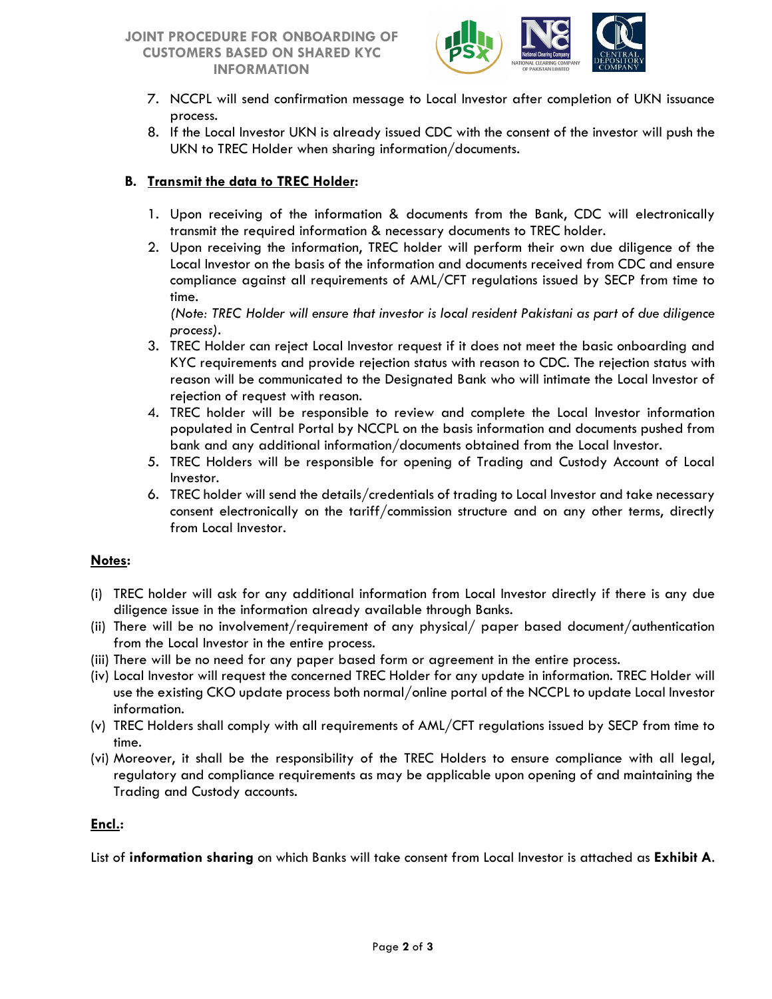## **JOINT PROCEDURE FOR ONBOARDING OF CUSTOMERS BASED ON SHARED KYC INFORMATION**



- 7. NCCPL will send confirmation message to Local Investor after completion of UKN issuance process.
- 8. If the Local Investor UKN is already issued CDC with the consent of the investor will push the UKN to TREC Holder when sharing information/documents.

## **B. Transmit the data to TREC Holder:**

- 1. Upon receiving of the information & documents from the Bank, CDC will electronically transmit the required information & necessary documents to TREC holder.
- 2. Upon receiving the information, TREC holder will perform their own due diligence of the Local Investor on the basis of the information and documents received from CDC and ensure compliance against all requirements of AML/CFT regulations issued by SECP from time to time.

*(Note: TREC Holder will ensure that investor is local resident Pakistani as part of due diligence process).*

- 3. TREC Holder can reject Local Investor request if it does not meet the basic onboarding and KYC requirements and provide rejection status with reason to CDC. The rejection status with reason will be communicated to the Designated Bank who will intimate the Local Investor of rejection of request with reason.
- 4. TREC holder will be responsible to review and complete the Local Investor information populated in Central Portal by NCCPL on the basis information and documents pushed from bank and any additional information/documents obtained from the Local Investor.
- 5. TREC Holders will be responsible for opening of Trading and Custody Account of Local Investor.
- 6. TREC holder will send the details/credentials of trading to Local Investor and take necessary consent electronically on the tariff/commission structure and on any other terms, directly from Local Investor.

### **Notes:**

- (i) TREC holder will ask for any additional information from Local Investor directly if there is any due diligence issue in the information already available through Banks.
- (ii) There will be no involvement/requirement of any physical/ paper based document/authentication from the Local Investor in the entire process.
- (iii) There will be no need for any paper based form or agreement in the entire process.
- (iv) Local Investor will request the concerned TREC Holder for any update in information. TREC Holder will use the existing CKO update process both normal/online portal of the NCCPL to update Local Investor information.
- (v) TREC Holders shall comply with all requirements of AML/CFT regulations issued by SECP from time to time.
- (vi) Moreover, it shall be the responsibility of the TREC Holders to ensure compliance with all legal, regulatory and compliance requirements as may be applicable upon opening of and maintaining the Trading and Custody accounts.

### **Encl.:**

List of **information sharing** on which Banks will take consent from Local Investor is attached as **Exhibit A**.